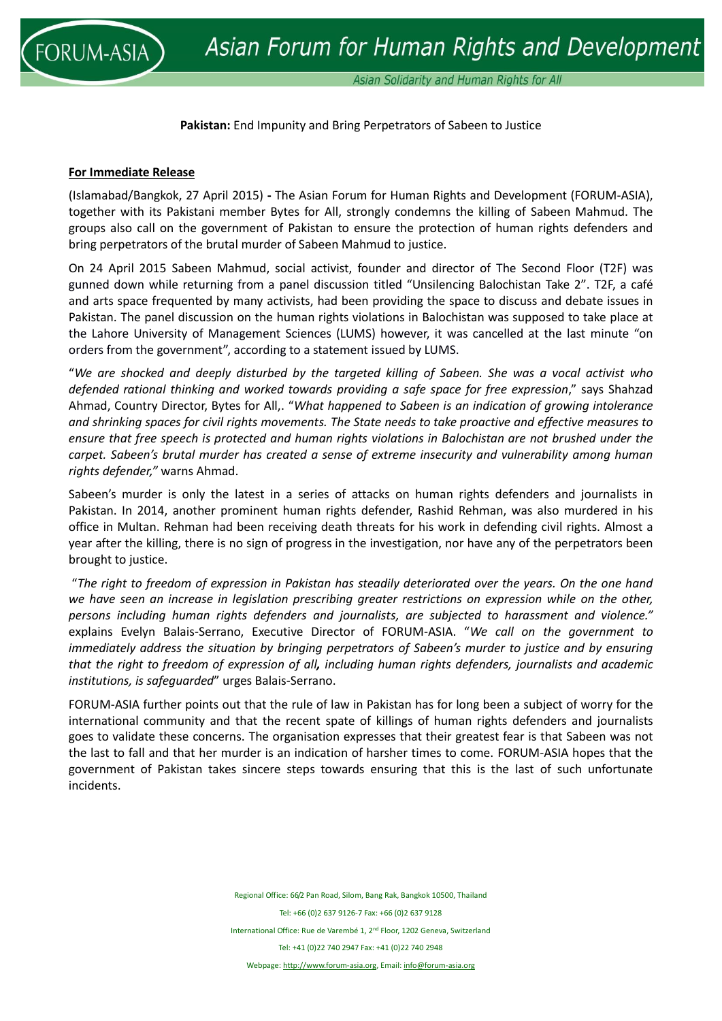

**Pakistan:** End Impunity and Bring Perpetrators of Sabeen to Justice

## **For Immediate Release**

(Islamabad/Bangkok, 27 April 2015) **-** The Asian Forum for Human Rights and Development (FORUM-ASIA), together with its Pakistani member Bytes for All, strongly condemns the killing of Sabeen Mahmud. The groups also call on the government of Pakistan to ensure the protection of human rights defenders and bring perpetrators of the brutal murder of Sabeen Mahmud to justice.

On 24 April 2015 Sabeen Mahmud, social activist, founder and director of The Second Floor (T2F) was gunned down while returning from a panel discussion titled "Unsilencing Balochistan Take 2". T2F, a café and arts space frequented by many activists, had been providing the space to discuss and debate issues in Pakistan. The panel discussion on the human rights violations in Balochistan was supposed to take place at the Lahore University of Management Sciences (LUMS) however, it was cancelled at the last minute "on orders from the government", according to a statement issued by LUMS.

"*We are shocked and deeply disturbed by the targeted killing of Sabeen. She was a vocal activist who defended rational thinking and worked towards providing a safe space for free expression*," says Shahzad Ahmad, Country Director, Bytes for All,. "*What happened to Sabeen is an indication of growing intolerance and shrinking spaces for civil rights movements. The State needs to take proactive and effective measures to ensure that free speech is protected and human rights violations in Balochistan are not brushed under the carpet. Sabeen's brutal murder has created a sense of extreme insecurity and vulnerability among human rights defender,"* warns Ahmad.

Sabeen's murder is only the latest in a series of attacks on human rights defenders and journalists in Pakistan. In 2014, another prominent human rights defender, Rashid Rehman, was also murdered in his office in Multan. Rehman had been receiving death threats for his work in defending civil rights. Almost a year after the killing, there is no sign of progress in the investigation, nor have any of the perpetrators been brought to justice.

"*The right to freedom of expression in Pakistan has steadily deteriorated over the years. On the one hand we have seen an increase in legislation prescribing greater restrictions on expression while on the other, persons including human rights defenders and journalists, are subjected to harassment and violence."*  explains Evelyn Balais-Serrano, Executive Director of FORUM-ASIA. "*We call on the government to immediately address the situation by bringing perpetrators of Sabeen's murder to justice and by ensuring that the right to freedom of expression of all, including human rights defenders, journalists and academic institutions, is safeguarded*" urges Balais-Serrano.

FORUM-ASIA further points out that the rule of law in Pakistan has for long been a subject of worry for the international community and that the recent spate of killings of human rights defenders and journalists goes to validate these concerns. The organisation expresses that their greatest fear is that Sabeen was not the last to fall and that her murder is an indication of harsher times to come. FORUM-ASIA hopes that the government of Pakistan takes sincere steps towards ensuring that this is the last of such unfortunate incidents.

> Regional Office: 66/2 Pan Road, Silom, Bang Rak, Bangkok 10500, Thailand Tel: +66 (0)2 637 9126-7 Fax: +66 (0)2 637 9128 International Office: Rue de Varembé 1, 2nd Floor, 1202 Geneva, Switzerland Tel: +41 (0)22 740 2947 Fax: +41 (0)22 740 2948 Webpage[: http://www.forum-asia.org,](http://www.forum-asia.org/) Email[: info@forum-asia.org](mailto:info@forum-asia.org)